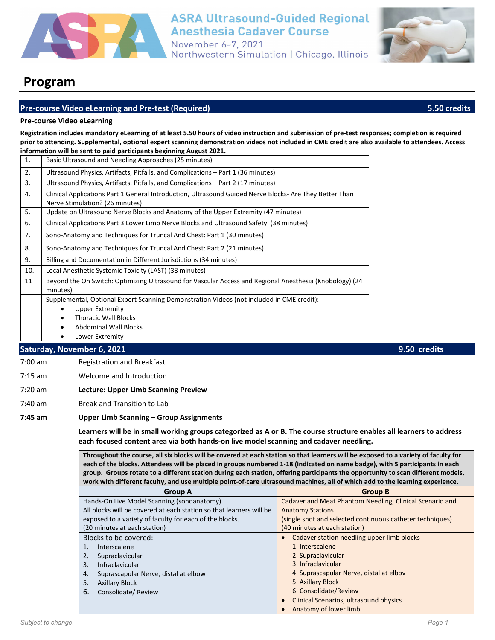

# **ASRA Ultrasound-Guided Regional Anesthesia Cadaver Course**

November 6-7, 2021 Northwestern Simulation | Chicago, Illinois



# **Program**

# **Pre-course Video eLearning and Pre-test (Required) 5.50 credits**

#### **Pre-course Video eLearning**

**Registration includes mandatory eLearning of at least 5.50 hours of video instruction and submission of pre-test responses; completion is required prior to attending. Supplemental, optional expert scanning demonstration videos not included in CME credit are also available to attendees. Access information will be sent to paid participants beginning August 2021.**

| 1.  | Basic Ultrasound and Needling Approaches (25 minutes)                                                                                      |  |
|-----|--------------------------------------------------------------------------------------------------------------------------------------------|--|
| 2.  | Ultrasound Physics, Artifacts, Pitfalls, and Complications – Part 1 (36 minutes)                                                           |  |
| 3.  | Ultrasound Physics, Artifacts, Pitfalls, and Complications – Part 2 (17 minutes)                                                           |  |
| 4.  | Clinical Applications Part 1 General Introduction, Ultrasound Guided Nerve Blocks- Are They Better Than<br>Nerve Stimulation? (26 minutes) |  |
| 5.  | Update on Ultrasound Nerve Blocks and Anatomy of the Upper Extremity (47 minutes)                                                          |  |
| 6.  | Clinical Applications Part 3 Lower Limb Nerve Blocks and Ultrasound Safety (38 minutes)                                                    |  |
| 7.  | Sono-Anatomy and Techniques for Truncal And Chest: Part 1 (30 minutes)                                                                     |  |
| 8.  | Sono-Anatomy and Techniques for Truncal And Chest: Part 2 (21 minutes)                                                                     |  |
| 9.  | Billing and Documentation in Different Jurisdictions (34 minutes)                                                                          |  |
| 10. | Local Anesthetic Systemic Toxicity (LAST) (38 minutes)                                                                                     |  |
| 11  | Beyond the On Switch: Optimizing Ultrasound for Vascular Access and Regional Anesthesia (Knobology) (24<br>minutes)                        |  |
|     | Supplemental, Optional Expert Scanning Demonstration Videos (not included in CME credit):                                                  |  |
|     | Upper Extremity<br>٠                                                                                                                       |  |
|     | <b>Thoracic Wall Blocks</b><br>٠                                                                                                           |  |
|     | <b>Abdominal Wall Blocks</b>                                                                                                               |  |
|     | Lower Extremity                                                                                                                            |  |

## **Saturday, November 6, 2021 9.50 credits**

- 7:00 am Registration and Breakfast
- 7:15 am Welcome and Introduction
- 7:20 am **Lecture: Upper Limb Scanning Preview**
- 7:40 am Break and Transition to Lab

#### **7:45 am Upper Limb Scanning – Group Assignments**

**Learners will be in small working groups categorized as A or B. The course structure enables all learners to address each focused content area via both hands-on live model scanning and cadaver needling.**

**Throughout the course, all six blocks will be covered at each station so that learners will be exposed to a variety of faculty for each of the blocks. Attendees will be placed in groups numbered 1-18 (indicated on name badge), with 5 participants in each group. Groups rotate to a different station during each station, offering participants the opportunity to scan different models, work with different faculty, and use multiple point-of-care ultrasound machines, all of which add to the learning experience.**

| <b>Group A</b>                                                      | <b>Group B</b>                                            |
|---------------------------------------------------------------------|-----------------------------------------------------------|
| Hands-On Live Model Scanning (sonoanatomy)                          | Cadaver and Meat Phantom Needling, Clinical Scenario and  |
| All blocks will be covered at each station so that learners will be | <b>Anatomy Stations</b>                                   |
| exposed to a variety of faculty for each of the blocks.             | (single shot and selected continuous catheter techniques) |
| (20 minutes at each station)                                        | (40 minutes at each station)                              |
| Blocks to be covered:                                               | Cadaver station needling upper limb blocks                |
| Interscalene                                                        | 1. Interscalene                                           |
| Supraclavicular<br>2.                                               | 2. Supraclavicular                                        |
| Infraclavicular<br>3.                                               | 3. Infraclavicular                                        |
| Suprascapular Nerve, distal at elbow<br>4.                          | 4. Suprascapular Nerve, distal at elbov                   |
| <b>Axillary Block</b><br>5.                                         | 5. Axillary Block                                         |
| Consolidate/Review<br>6.                                            | 6. Consolidate/Review                                     |
|                                                                     | Clinical Scenarios, ultrasound physics                    |
|                                                                     | Anatomy of lower limb                                     |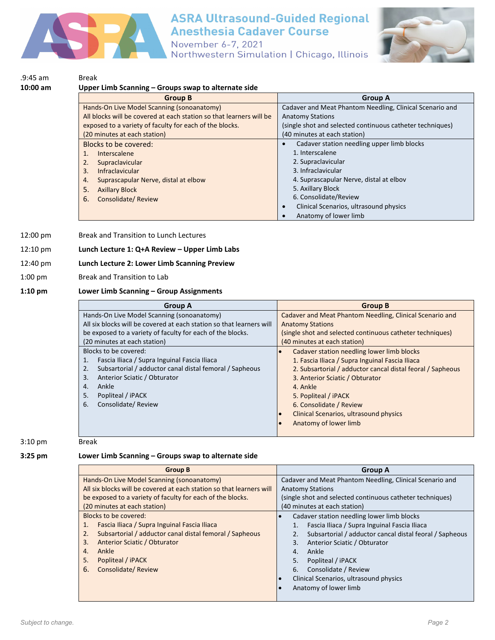

# **ASRA Ultrasound-Guided Regional Anesthesia Cadaver Course**

November 6-7, 2021 Northwestern Simulation | Chicago, Illinois



| 10:00 am | Upper Limb Scanning – Groups swap to alternate side                 |                                                           |
|----------|---------------------------------------------------------------------|-----------------------------------------------------------|
|          | <b>Group B</b>                                                      | <b>Group A</b>                                            |
|          | Hands-On Live Model Scanning (sonoanatomy)                          | Cadaver and Meat Phantom Needling, Clinical Scenario and  |
|          | All blocks will be covered at each station so that learners will be | <b>Anatomy Stations</b>                                   |
|          | exposed to a variety of faculty for each of the blocks.             | (single shot and selected continuous catheter techniques) |
|          | (20 minutes at each station)                                        | (40 minutes at each station)                              |
|          | Blocks to be covered:                                               | Cadaver station needling upper limb blocks                |
|          | <b>Interscalene</b><br>1.                                           | 1. Interscalene                                           |
|          | 2.<br>Supraclavicular                                               | 2. Supraclavicular                                        |
|          | <b>Infraclavicular</b><br>3.                                        | 3. Infraclavicular                                        |
|          | Suprascapular Nerve, distal at elbow<br>4.                          | 4. Suprascapular Nerve, distal at elbov                   |
|          | 5.<br><b>Axillary Block</b>                                         | 5. Axillary Block                                         |
|          | 6.<br>Consolidate/Review                                            | 6. Consolidate/Review                                     |
|          |                                                                     | Clinical Scenarios, ultrasound physics                    |
|          |                                                                     | Anatomy of lower limb                                     |

12:00 pm Break and Transition to Lunch Lectures

### 12:10 pm **Lunch Lecture 1: Q+A Review – Upper Limb Labs**

# 12:40 pm **Lunch Lecture 2: Lower Limb Scanning Preview**

1:00 pm Break and Transition to Lab

### **1:10 pm Lower Limb Scanning – Group Assignments**

| <b>Group A</b>                                                       | <b>Group B</b>                                             |
|----------------------------------------------------------------------|------------------------------------------------------------|
| Hands-On Live Model Scanning (sonoanatomy)                           | Cadaver and Meat Phantom Needling, Clinical Scenario and   |
| All six blocks will be covered at each station so that learners will | <b>Anatomy Stations</b>                                    |
| be exposed to a variety of faculty for each of the blocks.           | (single shot and selected continuous catheter techniques)  |
| (20 minutes at each station)                                         | (40 minutes at each station)                               |
| Blocks to be covered:                                                | Cadaver station needling lower limb blocks                 |
| Fascia Iliaca / Supra Inguinal Fascia Iliaca<br>1.                   | 1. Fascia Iliaca / Supra Inguinal Fascia Iliaca            |
| Subsartorial / adductor canal distal femoral / Sapheous<br>2.        | 2. Subsartorial / adductor cancal distal feoral / Sapheous |
| Anterior Sciatic / Obturator<br>3.                                   | 3. Anterior Sciatic / Obturator                            |
| Ankle<br>$\mathbf{4}$ .                                              | 4. Ankle                                                   |
| Popliteal / iPACK<br>5.                                              | 5. Popliteal / iPACK                                       |
| Consolidate/Review<br>6.                                             | 6. Consolidate / Review                                    |
|                                                                      | Clinical Scenarios, ultrasound physics                     |
|                                                                      | Anatomy of lower limb                                      |

#### 3:10 pm Break

# **3:25 pm Lower Limb Scanning – Groups swap to alternate side**

| <b>Group B</b>                                                       | <b>Group A</b>                                            |
|----------------------------------------------------------------------|-----------------------------------------------------------|
| Hands-On Live Model Scanning (sonoanatomy)                           | Cadaver and Meat Phantom Needling, Clinical Scenario and  |
| All six blocks will be covered at each station so that learners will | <b>Anatomy Stations</b>                                   |
| be exposed to a variety of faculty for each of the blocks.           | (single shot and selected continuous catheter techniques) |
| (20 minutes at each station)                                         | (40 minutes at each station)                              |
| Blocks to be covered:                                                | Cadaver station needling lower limb blocks                |
| Fascia Iliaca / Supra Inguinal Fascia Iliaca<br>1.                   | Fascia Iliaca / Supra Inguinal Fascia Iliaca              |
| Subsartorial / adductor canal distal femoral / Sapheous<br>2.        | Subsartorial / adductor cancal distal feoral / Sapheous   |
| Anterior Sciatic / Obturator<br>3.                                   | Anterior Sciatic / Obturator<br>3.                        |
| Ankle<br>4.                                                          | Ankle<br>4.                                               |
| Popliteal / iPACK<br>5.                                              | 5.<br>Popliteal / iPACK                                   |
| Consolidate/Review<br>6.                                             | Consolidate / Review<br>6.                                |
|                                                                      | Clinical Scenarios, ultrasound physics                    |
|                                                                      | Anatomy of lower limb                                     |